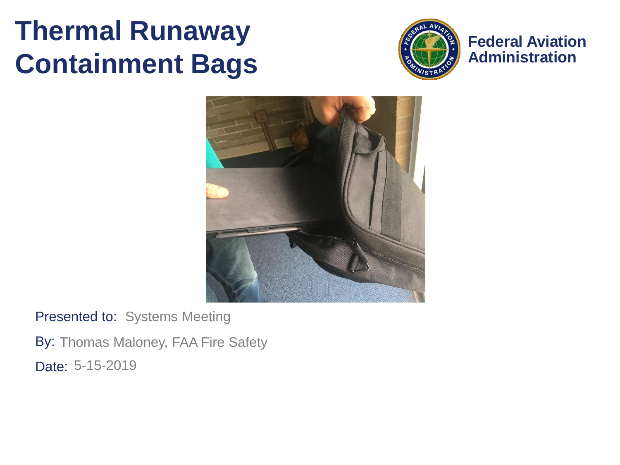#### **Thermal Runaway Containment Bags**



**Federal Aviation Administration**



Presented to: Systems Meeting

By: Thomas Maloney, FAA Fire Safety Date: 5-15-2019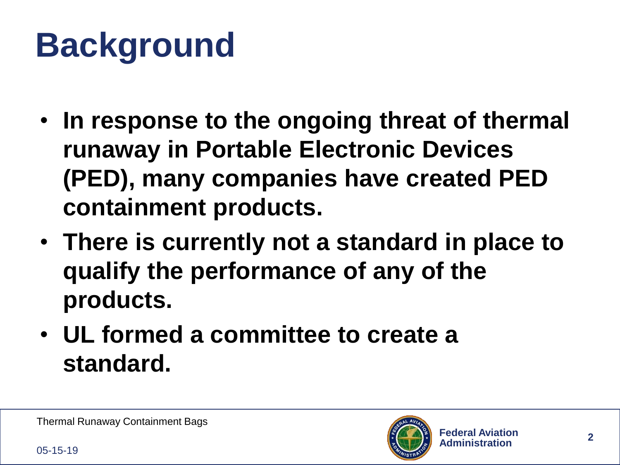### **Background**

- **In response to the ongoing threat of thermal runaway in Portable Electronic Devices (PED), many companies have created PED containment products.**
- **There is currently not a standard in place to qualify the performance of any of the products.**
- **UL formed a committee to create a standard.**

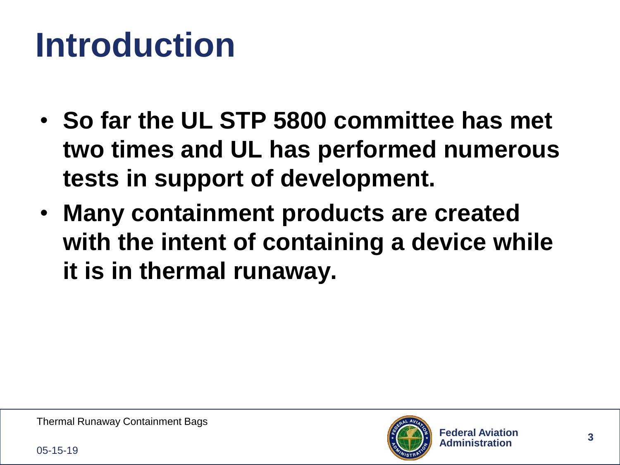#### **Introduction**

- **So far the UL STP 5800 committee has met two times and UL has performed numerous tests in support of development.**
- **Many containment products are created with the intent of containing a device while it is in thermal runaway.**

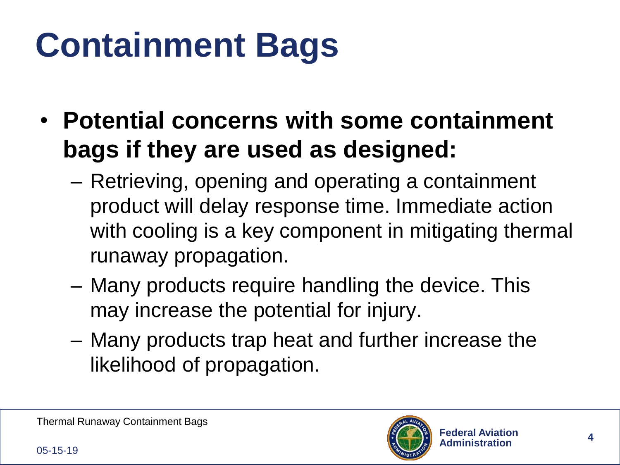## **Containment Bags**

- **Potential concerns with some containment bags if they are used as designed:**
	- Retrieving, opening and operating a containment product will delay response time. Immediate action with cooling is a key component in mitigating thermal runaway propagation.
	- Many products require handling the device. This may increase the potential for injury.
	- Many products trap heat and further increase the likelihood of propagation.

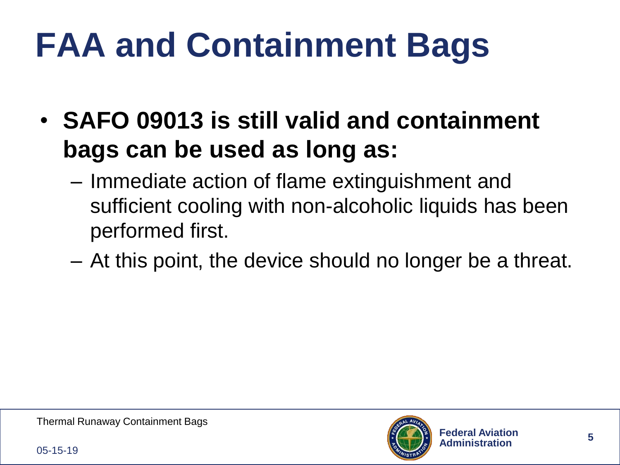# **FAA and Containment Bags**

- **SAFO 09013 is still valid and containment bags can be used as long as:**
	- Immediate action of flame extinguishment and sufficient cooling with non-alcoholic liquids has been performed first.
	- At this point, the device should no longer be a threat.